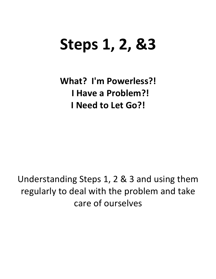# **Steps 1, 2, &3**

**What? I'm Powerless?! I Have a Problem?! I** Need to Let Go?!

Understanding Steps 1, 2 & 3 and using them regularly to deal with the problem and take care of ourselves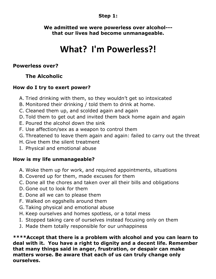#### **Step 1:**

**We admitted we were powerless over alcohol-- that our lives had become unmanageable.**

# **What? I'm Powerless?!**

#### **Powerless over?**

### **The Alcoholic**

#### **How do I try to exert power?**

- A. Tried drinking with them, so they wouldn't get so intoxicated
- B. Monitored their drinking / told them to drink at home.
- C. Cleaned them up, and scolded again and again
- D. Told them to get out and invited them back home again and again
- E. Poured the alcohol down the sink
- F. Use affection/sex as a weapon to control them
- G. Threatened to leave them again and again: failed to carry out the threat
- H. Give them the silent treatment
- I. Physical and emotional abuse

#### **How is my life unmanageable?**

- A. Woke them up for work, and required appointments, situations
- B. Covered up for them, made excuses for them
- C. Done all the chores and taken over all their bills and obligations
- D. Gone out to look for them
- E. Done all we can to please them
- F. Walked on eggshells around them
- G. Taking physical and emotional abuse
- H. Keep ourselves and homes spotless, or a total mess
- I. Stopped taking care of ourselves instead focusing only on them
- J. Made them totally responsible for our unhappiness

**\*\*\*\*Accept that there is a problem with alcohol and you can learn to deal with it. You have a right to dignity and a decent life. Remember that many things said in anger, frustration, or despair can make matters worse. Be aware that each of us can truly change only ourselves.**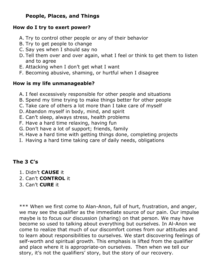#### **People, Places, and Things**

#### **How do I try to exert power?**

- A. Try to control other people or any of their behavior
- B. Try to get people to change
- C. Say yes when I should say no
- D. Tell them over and over again, what I feel or think to get them to listen and to agree
- E. Attacking when I don't get what I want
- F. Becoming abusive, shaming, or hurtful when I disagree

### **How is my life unmanageable?**

- A. I feel excessively responsible for other people and situations
- B. Spend my time trying to make things better for other people
- C. Take care of others a lot more than I take care of myself
- D. Abandon myself in body, mind, and spirit
- E. Can't sleep, always stress, health problems
- F. Have a hard time relaxing, having fun
- G. Don't have a lot of support; friends, family
- H. Have a hard time with getting things done, completing projects
- I. Having a hard time taking care of daily needs, obligations

#### **The 3 C's**

- 1. Didn't **CAUSE** it
- 2. Can't **CONTROL** it
- 3. Can't **CURE** it

\*\*\* When we first come to Alan-Anon, full of hurt, frustration, and anger, we may see the qualifier as the immediate source of our pain. Our impulse maybe is to focus our discussion (sharing) on that person. We may have become so used to talking about everything but ourselves. In Al-Anon we come to realize that much of our discomfort comes from our attitudes and to learn about responsibilities to ourselves. We start discovering feelings of self-worth and spiritual growth. This emphasis is lifted from the qualifier and place where it is appropriate-on ourselves. Then when we tell our story, it's not the qualifiers' story, but the story of our recovery.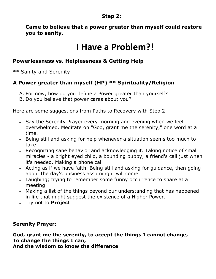#### **Step 2:**

**Came to believe that a power greater than myself could restore you to sanity.**

# **I** Have a Problem?!

#### **Powerlessness vs. Helplessness & Getting Help**

\*\* Sanity and Serenity

### **A Power greater than myself (HP) \*\* Spirituality/Religion**

- A. For now, how do you define a Power greater than yourself?
- B. Do you believe that power cares about you?

Here are some suggestions from Paths to Recovery with Step 2:

- Say the Serenity Prayer every morning and evening when we feel overwhelmed. Meditate on "God, grant me the serenity," one word at a time.
- Being still and asking for help whenever a situation seems too much to take.
- Recognizing sane behavior and acknowledging it. Taking notice of small miracles - a bright eyed child, a bounding puppy, a friend's call just when it's needed. Making a phone call
- Acting as if we have faith. Being still and asking for guidance, then going about the day's business assuming it will come.
- Laughing; trying to remember some funny occurrence to share at a meeting.
- Making a list of the things beyond our understanding that has happened in life that might suggest the existence of a Higher Power.
- Try not to **Project**

#### **Serenity Prayer:**

**God, grant me the serenity, to accept the things I cannot change, To change the things I can, And the wisdom to know the difference**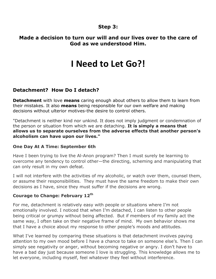#### **Step 3:**

#### **Made a decision to turn our will and our lives over to the care of God as we understood Him.**

# **I** Need to Let Go?!

#### **Detachment? How Do I detach?**

**Detachment** with love **means** caring enough about others to allow them to learn from their mistakes. It also **means** being responsible for our own welfare and making decisions without ulterior motives-the desire to control others.

"Detachment is neither kind nor unkind. It does not imply judgment or condemnation of the person or situation from which we are detaching. **It is simply a means that allows us to separate ourselves from the adverse effects that another person's alcoholism can have upon our lives."**

#### **One Day At A Time: September 6th**

Have I been trying to live the Al-Anon program? Then I must surely be learning to overcome any tendency to control other—the directing, scheming and manipulating that can only result in my own defeat.

I will not interfere with the activities of my alcoholic, or watch over them, counsel them, or assume their responsibilities. They must have the same freedom to make their own decisions as I have, since they must suffer if the decisions are wrong.

#### **Courage to Change: February 12th**

For me, detachment is relatively easy with people or situations where I'm not emotionally involved. I noticed that when I'm detached, I can listen to other people being critical or grumpy without being affected. But if members of my family act the same way, I often take on their negative frame of mind. My own behavior shows me that I have a choice about my response to other people's moods and attitudes.

What I've learned by comparing these situations is that detachment involves paying attention to my own mood before I have a chance to take on someone else's. Then I can simply see negativity or anger, without becoming negative or angry. I don't have to have a bad day just because someone I love is struggling. This knowledge allows me to let everyone, including myself, feel whatever they feel without interference.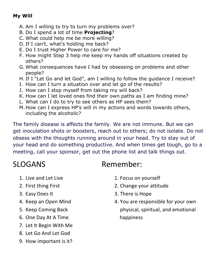#### **My Will**

- A. Am I willing to try to turn my problems over?
- B. Do I spend a lot of time **Projecting**?
- C. What could help me be more willing?
- D. If I can't, what's holding me back?
- E. Do I trust Higher Power to care for me?
- F. How might Step 3 help me keep my hands off situations created by others?
- G. What consequences have I had by obsessing on problems and other people?
- H. If I "Let Go and let God", am I willing to follow the guidance I receive?
- I. How can I turn a situation over and let go of the results?
- J. How can I stop myself from taking my will back?
- K. How can I let loved ones find their own paths as I am finding mine?
- L. What can I do to try to see others as HP sees them?
- M.How can I express HP's will in my actions and words towards others, including the alcoholic?

The family disease is affects the family. We are not immune. But we can get inoculation shots or boosters, reach out to others; do not isolate. Do not obsess with the thoughts running around in your head. Try to stay out of your head and do something productive. And when times get tough, go to a meeting, call your sponsor, get out the phone list and talk things out. 

- 
- 
- 
- 
- 
- 6. One Day At A Time **Solution Contract Contract Contract Contract Contract Contract Contract Contract Contract Contract Contract Contract Contract Contract Contract Contract Contract Contract Contract Contract Contract Co**
- 7. Let It Begin With Me
- 8. Let Go And Let God
- 9. How important is it?

## SLOGANS Remember:

- 1. Live and Let Live 1. Focus on yourself
- 2. First thing First 2. Change your attitude
- 3. Easy Does It 3. There is Hope
- 4. Keep an Open Mind and the state of the State of the State of the State of the State of the State of the State of the State of the State of the State of the State of the State of the State of the State of the State of th 5. Keep Coming Back *Demetary* **Coming Back** *Community* **Community Community Community Community Community Community Community Community Community Community Community Community Community Comm**